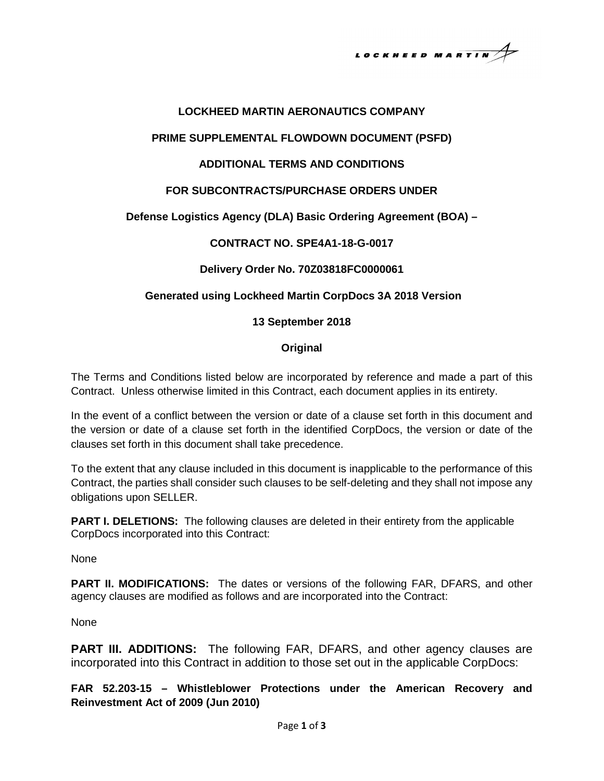LOCKHEED MARTIN

# **LOCKHEED MARTIN AERONAUTICS COMPANY**

#### **PRIME SUPPLEMENTAL FLOWDOWN DOCUMENT (PSFD)**

## **ADDITIONAL TERMS AND CONDITIONS**

## **FOR SUBCONTRACTS/PURCHASE ORDERS UNDER**

# **Defense Logistics Agency (DLA) Basic Ordering Agreement (BOA) –**

## **CONTRACT NO. SPE4A1-18-G-0017**

## **Delivery Order No. 70Z03818FC0000061**

## **Generated using Lockheed Martin CorpDocs 3A 2018 Version**

#### **13 September 2018**

#### **Original**

The Terms and Conditions listed below are incorporated by reference and made a part of this Contract. Unless otherwise limited in this Contract, each document applies in its entirety.

In the event of a conflict between the version or date of a clause set forth in this document and the version or date of a clause set forth in the identified CorpDocs, the version or date of the clauses set forth in this document shall take precedence.

To the extent that any clause included in this document is inapplicable to the performance of this Contract, the parties shall consider such clauses to be self-deleting and they shall not impose any obligations upon SELLER.

**PART I. DELETIONS:** The following clauses are deleted in their entirety from the applicable CorpDocs incorporated into this Contract:

None

**PART II. MODIFICATIONS:** The dates or versions of the following FAR, DFARS, and other agency clauses are modified as follows and are incorporated into the Contract:

None

**PART III. ADDITIONS:** The following FAR, DFARS, and other agency clauses are incorporated into this Contract in addition to those set out in the applicable CorpDocs:

**FAR 52.203-15 – Whistleblower Protections under the American Recovery and Reinvestment Act of 2009 (Jun 2010)**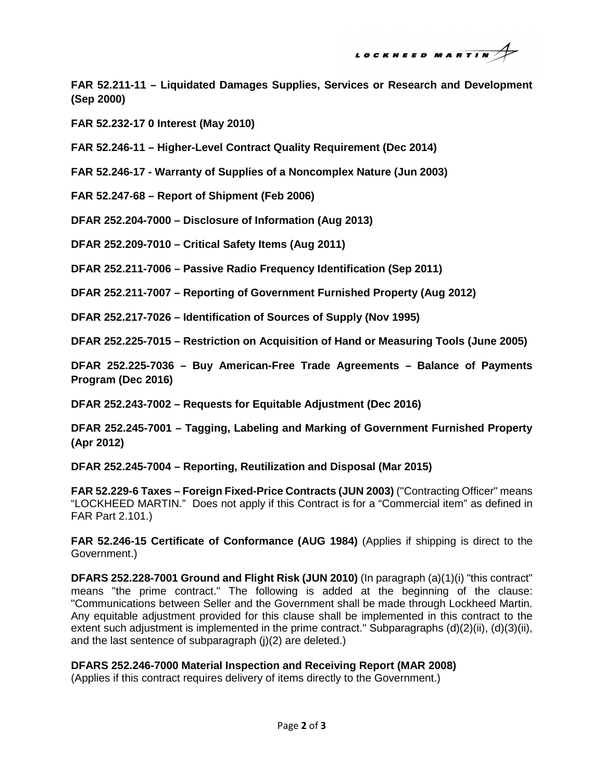LOCKHEED MARTIN

**FAR 52.211-11 – Liquidated Damages Supplies, Services or Research and Development (Sep 2000)** 

**FAR 52.232-17 0 Interest (May 2010)** 

**FAR 52.246-11 – Higher-Level Contract Quality Requirement (Dec 2014)** 

**FAR 52.246-17 - Warranty of Supplies of a Noncomplex Nature (Jun 2003)** 

**FAR 52.247-68 – Report of Shipment (Feb 2006)** 

**DFAR 252.204-7000 – Disclosure of Information (Aug 2013)** 

**DFAR 252.209-7010 – Critical Safety Items (Aug 2011)** 

**DFAR 252.211-7006 – Passive Radio Frequency Identification (Sep 2011)** 

**DFAR 252.211-7007 – Reporting of Government Furnished Property (Aug 2012)** 

**DFAR 252.217-7026 – Identification of Sources of Supply (Nov 1995)** 

**DFAR 252.225-7015 – Restriction on Acquisition of Hand or Measuring Tools (June 2005)** 

**DFAR 252.225-7036 – Buy American-Free Trade Agreements – Balance of Payments Program (Dec 2016)** 

**DFAR 252.243-7002 – Requests for Equitable Adjustment (Dec 2016)** 

**DFAR 252.245-7001 – Tagging, Labeling and Marking of Government Furnished Property (Apr 2012)** 

**DFAR 252.245-7004 – Reporting, Reutilization and Disposal (Mar 2015)** 

**FAR 52.229-6 Taxes – Foreign Fixed-Price Contracts (JUN 2003)** ("Contracting Officer" means "LOCKHEED MARTIN." Does not apply if this Contract is for a "Commercial item" as defined in FAR Part 2.101.)

**FAR 52.246-15 Certificate of Conformance (AUG 1984)** (Applies if shipping is direct to the Government.)

**DFARS 252.228-7001 Ground and Flight Risk (JUN 2010)** (In paragraph (a)(1)(i) "this contract" means "the prime contract." The following is added at the beginning of the clause: "Communications between Seller and the Government shall be made through Lockheed Martin. Any equitable adjustment provided for this clause shall be implemented in this contract to the extent such adjustment is implemented in the prime contract." Subparagraphs (d)(2)(ii), (d)(3)(ii), and the last sentence of subparagraph (j)(2) are deleted.)

# **DFARS 252.246-7000 Material Inspection and Receiving Report (MAR 2008)**

(Applies if this contract requires delivery of items directly to the Government.)